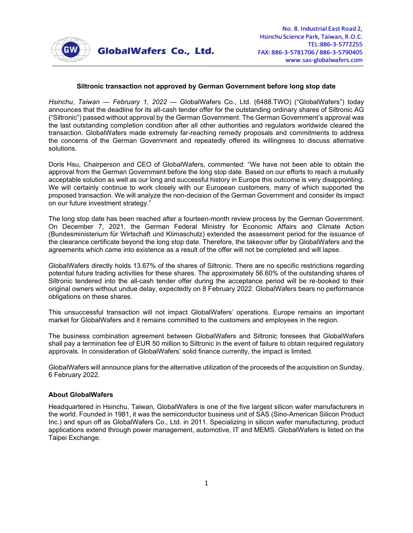

## **Siltronic transaction not approved by German Government before long stop date**

*Hsinchu, Taiwan — February 1, 2022* — GlobalWafers Co., Ltd. (6488.TWO) ("GlobalWafers") today announces that the deadline for its all-cash tender offer for the outstanding ordinary shares of Siltronic AG ("Siltronic") passed without approval by the German Government. The German Government's approval was the last outstanding completion condition after all other authorities and regulators worldwide cleared the transaction. GlobalWafers made extremely far-reaching remedy proposals and commitments to address the concerns of the German Government and repeatedly offered its willingness to discuss alternative solutions.

Doris Hsu, Chairperson and CEO of GlobalWafers, commented: "We have not been able to obtain the approval from the German Government before the long stop date. Based on our efforts to reach a mutually acceptable solution as well as our long and successful history in Europe this outcome is very disappointing. We will certainly continue to work closely with our European customers, many of which supported the proposed transaction. We will analyze the non-decision of the German Government and consider its impact on our future investment strategy."

The long stop date has been reached after a fourteen-month review process by the German Government. On December 7, 2021, the German Federal Ministry for Economic Affairs and Climate Action (Bundesministerium für Wirtschaft und Klimaschutz) extended the assessment period for the issuance of the clearance certificate beyond the long stop date. Therefore, the takeover offer by GlobalWafers and the agreements which came into existence as a result of the offer will not be completed and will lapse.

GlobalWafers directly holds 13.67% of the shares of Siltronic. There are no specific restrictions regarding potential future trading activities for these shares. The approximately 56.60% of the outstanding shares of Siltronic tendered into the all-cash tender offer during the acceptance period will be re-booked to their original owners without undue delay, expectedly on 8 February 2022. GlobalWafers bears no performance obligations on these shares.

This unsuccessful transaction will not impact GlobalWafers' operations. Europe remains an important market for GlobalWafers and it remains committed to the customers and employees in the region.

The business combination agreement between GlobalWafers and Siltronic foresees that GlobalWafers shall pay a termination fee of EUR 50 million to Siltronic in the event of failure to obtain required regulatory approvals. In consideration of GlobalWafers' solid finance currently, the impact is limited.

GlobalWafers will announce plans for the alternative utilization of the proceeds of the acquisition on Sunday, 6 February 2022.

## **About GlobalWafers**

Headquartered in Hsinchu, Taiwan, GlobalWafers is one of the five largest silicon wafer manufacturers in the world. Founded in 1981, it was the semiconductor business unit of SAS (Sino-American Silicon Product Inc.) and spun off as GlobalWafers Co., Ltd. in 2011. Specializing in silicon wafer manufacturing, product applications extend through power management, automotive, IT and MEMS. GlobalWafers is listed on the Taipei Exchange.